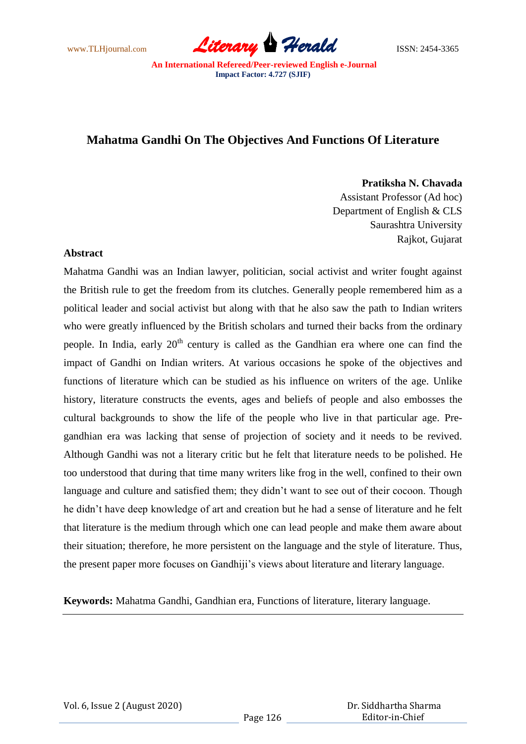www.TLHjournal.com *Literary Herald*ISSN: 2454-3365

# **Mahatma Gandhi On The Objectives And Functions Of Literature**

**Pratiksha N. Chavada**

Assistant Professor (Ad hoc) Department of English & CLS Saurashtra University Rajkot, Gujarat

## **Abstract**

Mahatma Gandhi was an Indian lawyer, politician, social activist and writer fought against the British rule to get the freedom from its clutches. Generally people remembered him as a political leader and social activist but along with that he also saw the path to Indian writers who were greatly influenced by the British scholars and turned their backs from the ordinary people. In India, early  $20<sup>th</sup>$  century is called as the Gandhian era where one can find the impact of Gandhi on Indian writers. At various occasions he spoke of the objectives and functions of literature which can be studied as his influence on writers of the age. Unlike history, literature constructs the events, ages and beliefs of people and also embosses the cultural backgrounds to show the life of the people who live in that particular age. Pregandhian era was lacking that sense of projection of society and it needs to be revived. Although Gandhi was not a literary critic but he felt that literature needs to be polished. He too understood that during that time many writers like frog in the well, confined to their own language and culture and satisfied them; they didn't want to see out of their cocoon. Though he didn"t have deep knowledge of art and creation but he had a sense of literature and he felt that literature is the medium through which one can lead people and make them aware about their situation; therefore, he more persistent on the language and the style of literature. Thus, the present paper more focuses on Gandhiji"s views about literature and literary language.

**Keywords:** Mahatma Gandhi, Gandhian era, Functions of literature, literary language.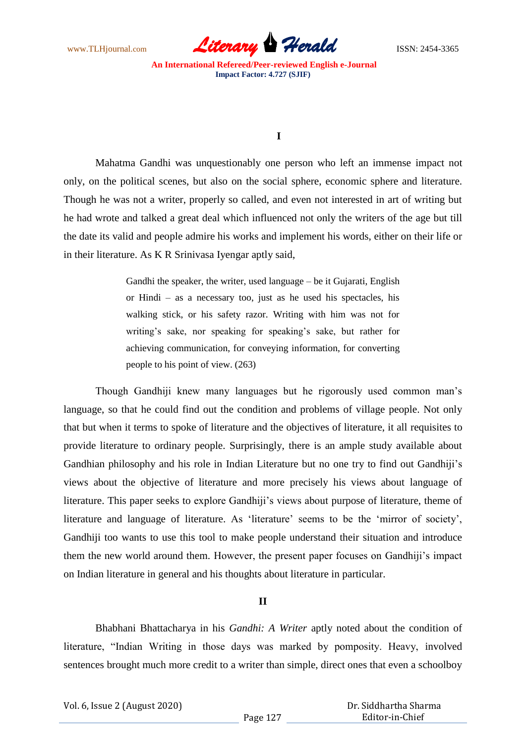www.TLHjournal.com *Literary Herald*ISSN: 2454-3365

### **I**

Mahatma Gandhi was unquestionably one person who left an immense impact not only, on the political scenes, but also on the social sphere, economic sphere and literature. Though he was not a writer, properly so called, and even not interested in art of writing but he had wrote and talked a great deal which influenced not only the writers of the age but till the date its valid and people admire his works and implement his words, either on their life or in their literature. As K R Srinivasa Iyengar aptly said,

> Gandhi the speaker, the writer, used language – be it Gujarati, English or Hindi – as a necessary too, just as he used his spectacles, his walking stick, or his safety razor. Writing with him was not for writing's sake, nor speaking for speaking's sake, but rather for achieving communication, for conveying information, for converting people to his point of view. (263)

Though Gandhiji knew many languages but he rigorously used common man"s language, so that he could find out the condition and problems of village people. Not only that but when it terms to spoke of literature and the objectives of literature, it all requisites to provide literature to ordinary people. Surprisingly, there is an ample study available about Gandhian philosophy and his role in Indian Literature but no one try to find out Gandhiji"s views about the objective of literature and more precisely his views about language of literature. This paper seeks to explore Gandhiji"s views about purpose of literature, theme of literature and language of literature. As 'literature' seems to be the 'mirror of society', Gandhiji too wants to use this tool to make people understand their situation and introduce them the new world around them. However, the present paper focuses on Gandhiji"s impact on Indian literature in general and his thoughts about literature in particular.

### **II**

Bhabhani Bhattacharya in his *Gandhi: A Writer* aptly noted about the condition of literature, "Indian Writing in those days was marked by pomposity. Heavy, involved sentences brought much more credit to a writer than simple, direct ones that even a schoolboy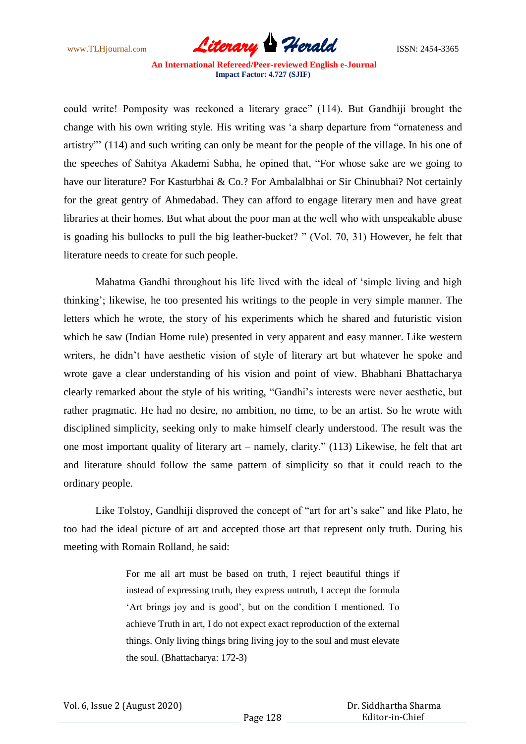www.TLHjournal.com *Literary Herald*ISSN: 2454-3365

could write! Pomposity was reckoned a literary grace" (114). But Gandhiji brought the change with his own writing style. His writing was "a sharp departure from "ornateness and artistry"" (114) and such writing can only be meant for the people of the village. In his one of the speeches of Sahitya Akademi Sabha, he opined that, "For whose sake are we going to have our literature? For Kasturbhai & Co.? For Ambalalbhai or Sir Chinubhai? Not certainly for the great gentry of Ahmedabad. They can afford to engage literary men and have great libraries at their homes. But what about the poor man at the well who with unspeakable abuse is goading his bullocks to pull the big leather-bucket? " (Vol. 70, 31) However, he felt that literature needs to create for such people.

Mahatma Gandhi throughout his life lived with the ideal of "simple living and high thinking"; likewise, he too presented his writings to the people in very simple manner. The letters which he wrote, the story of his experiments which he shared and futuristic vision which he saw (Indian Home rule) presented in very apparent and easy manner. Like western writers, he didn"t have aesthetic vision of style of literary art but whatever he spoke and wrote gave a clear understanding of his vision and point of view. Bhabhani Bhattacharya clearly remarked about the style of his writing, "Gandhi"s interests were never aesthetic, but rather pragmatic. He had no desire, no ambition, no time, to be an artist. So he wrote with disciplined simplicity, seeking only to make himself clearly understood. The result was the one most important quality of literary art – namely, clarity." (113) Likewise, he felt that art and literature should follow the same pattern of simplicity so that it could reach to the ordinary people.

Like Tolstoy, Gandhiji disproved the concept of "art for art's sake" and like Plato, he too had the ideal picture of art and accepted those art that represent only truth. During his meeting with Romain Rolland, he said:

> For me all art must be based on truth, I reject beautiful things if instead of expressing truth, they express untruth, I accept the formula "Art brings joy and is good", but on the condition I mentioned. To achieve Truth in art, I do not expect exact reproduction of the external things. Only living things bring living joy to the soul and must elevate the soul. (Bhattacharya: 172-3)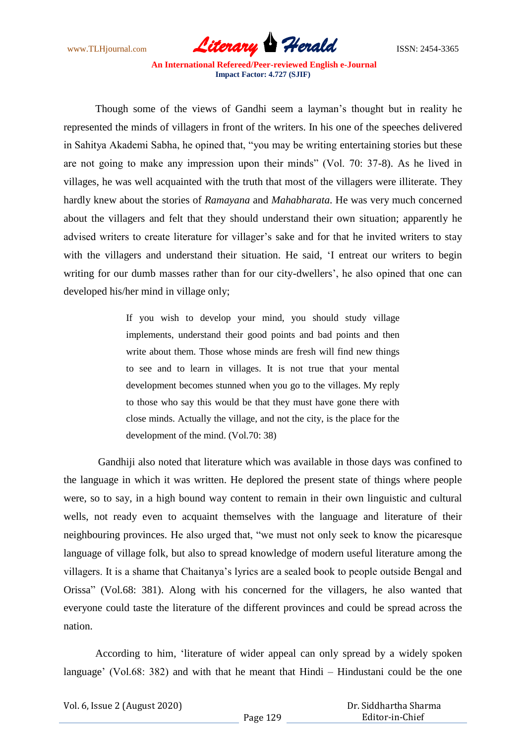www.TLHjournal.com *Literary Herald*ISSN: 2454-3365

Though some of the views of Gandhi seem a layman"s thought but in reality he represented the minds of villagers in front of the writers. In his one of the speeches delivered in Sahitya Akademi Sabha, he opined that, "you may be writing entertaining stories but these are not going to make any impression upon their minds" (Vol. 70: 37-8). As he lived in villages, he was well acquainted with the truth that most of the villagers were illiterate. They hardly knew about the stories of *Ramayana* and *Mahabharata*. He was very much concerned about the villagers and felt that they should understand their own situation; apparently he advised writers to create literature for villager's sake and for that he invited writers to stay with the villagers and understand their situation. He said, 'I entreat our writers to begin writing for our dumb masses rather than for our city-dwellers', he also opined that one can developed his/her mind in village only;

> If you wish to develop your mind, you should study village implements, understand their good points and bad points and then write about them. Those whose minds are fresh will find new things to see and to learn in villages. It is not true that your mental development becomes stunned when you go to the villages. My reply to those who say this would be that they must have gone there with close minds. Actually the village, and not the city, is the place for the development of the mind. (Vol.70: 38)

Gandhiji also noted that literature which was available in those days was confined to the language in which it was written. He deplored the present state of things where people were, so to say, in a high bound way content to remain in their own linguistic and cultural wells, not ready even to acquaint themselves with the language and literature of their neighbouring provinces. He also urged that, "we must not only seek to know the picaresque language of village folk, but also to spread knowledge of modern useful literature among the villagers. It is a shame that Chaitanya"s lyrics are a sealed book to people outside Bengal and Orissa" (Vol.68: 381). Along with his concerned for the villagers, he also wanted that everyone could taste the literature of the different provinces and could be spread across the nation.

According to him, "literature of wider appeal can only spread by a widely spoken language' (Vol.68: 382) and with that he meant that Hindi – Hindustani could be the one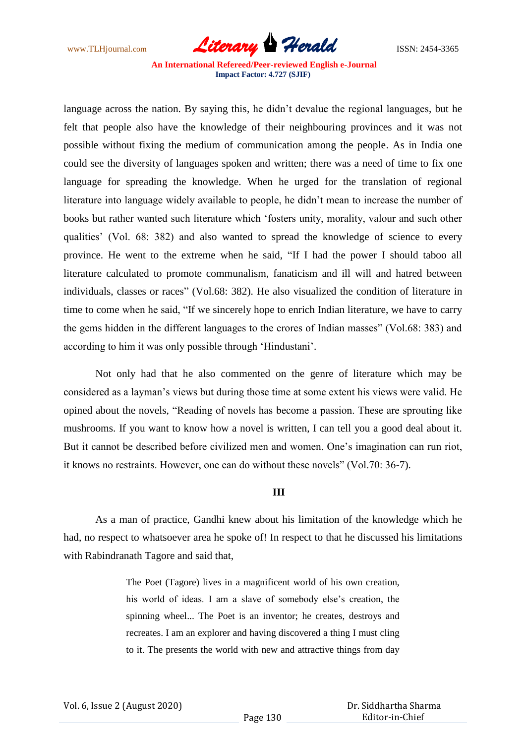www.TLHjournal.com **Literary Herald Herald** ISSN: 2454-3365

language across the nation. By saying this, he didn't devalue the regional languages, but he felt that people also have the knowledge of their neighbouring provinces and it was not possible without fixing the medium of communication among the people. As in India one could see the diversity of languages spoken and written; there was a need of time to fix one language for spreading the knowledge. When he urged for the translation of regional literature into language widely available to people, he didn"t mean to increase the number of books but rather wanted such literature which "fosters unity, morality, valour and such other qualities" (Vol. 68: 382) and also wanted to spread the knowledge of science to every province. He went to the extreme when he said, "If I had the power I should taboo all literature calculated to promote communalism, fanaticism and ill will and hatred between individuals, classes or races" (Vol.68: 382). He also visualized the condition of literature in time to come when he said, "If we sincerely hope to enrich Indian literature, we have to carry the gems hidden in the different languages to the crores of Indian masses" (Vol.68: 383) and according to him it was only possible through "Hindustani".

Not only had that he also commented on the genre of literature which may be considered as a layman"s views but during those time at some extent his views were valid. He opined about the novels, "Reading of novels has become a passion. These are sprouting like mushrooms. If you want to know how a novel is written, I can tell you a good deal about it. But it cannot be described before civilized men and women. One"s imagination can run riot, it knows no restraints. However, one can do without these novels" (Vol.70: 36-7).

### **III**

As a man of practice, Gandhi knew about his limitation of the knowledge which he had, no respect to whatsoever area he spoke of! In respect to that he discussed his limitations with Rabindranath Tagore and said that,

> The Poet (Tagore) lives in a magnificent world of his own creation, his world of ideas. I am a slave of somebody else's creation, the spinning wheel... The Poet is an inventor; he creates, destroys and recreates. I am an explorer and having discovered a thing I must cling to it. The presents the world with new and attractive things from day